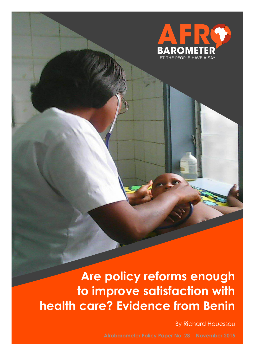

# **Are policy reforms enough to improve satisfaction with health care? Evidence from Benin**

By Richard Houessou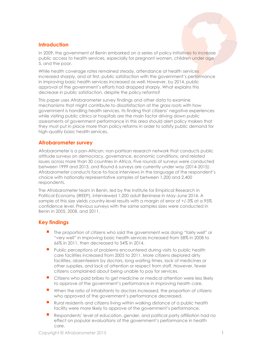## **Introduction**

In 2009, the government of Benin embarked on a series of policy initiatives to increase public access to health services, especially for pregnant women, children under age 5, and the poor.

While health coverage rates remained steady, attendance at health services increased sharply, and at first, public satisfaction with the government's performance in improving basic health services increased as well. However, by 2014, public approval of the government's efforts had dropped sharply. What explains this decrease in public satisfaction, despite the policy reforms?

This paper uses Afrobarometer survey findings and other data to examine mechanisms that might contribute to dissatisfaction at the grass roots with how government is handling health services. Its finding that citizens' negative experiences while visiting public clinics or hospitals are the main factor driving down public assessments of government performance in this area should alert policy makers that they must put in place more than policy reforms in order to satisfy public demand for high-quality basic health services.

## **Afrobarometer survey**

Afrobarometer is a pan-African, non-partisan research network that conducts public attitude surveys on democracy, governance, economic conditions, and related issues across more than 30 countries in Africa. Five rounds of surveys were conducted between 1999 and 2013, and Round 6 surveys are currently under way (2014-2015). Afrobarometer conducts face-to-face interviews in the language of the respondent's choice with nationally representative samples of between 1,200 and 2,400 respondents.

The Afrobarometer team in Benin, led by the Institute for Empirical Research in Political Economy (IREEP), interviewed 1,200 adult Beninese in May-June 2014. A sample of this size yields country-level results with a margin of error of +/-3% at a 95% confidence level. Previous surveys with the same samples sizes were conducted in Benin in 2005, 2008, and 2011.

# **Key findings**

- The proportion of citizens who said the government was doing "fairly well" or "very well" in improving basic health services increased from 58% in 2008 to 66% in 2011, then decreased to 54% in 2014.
- Public perceptions of problems encountered during visits to public health care facilities increased from 2005 to 2011. More citizens deplored dirty facilities, absenteeism by doctors, long waiting times, lack of medicines or other supplies, and lack of attention or respect from staff. However, fewer citizens complained about being unable to pay for services.
- Citizens who paid bribes to get medicine or medical attention were less likely to approve of the government's performance in improving health care.
- When the ratio of inhabitants to doctors increased, the proportion of citizens who approved of the government's performance decreased.
- Rural residents and citizens living within walking distance of a public health facility were more likely to approve of the government's performance.
- Respondents' level of education, gender, and political party affiliation had no effect on popular evaluations of the government's performance in health care.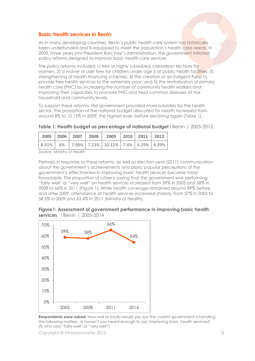# **Basic health services in Benin**

As in many developing countries, Benin's public health care system has historically been underfunded and ill-equipped to meet the population's health care needs. In 2009, three years into President Boni Yayi's administration, the government initiated policy reforms designed to improve basic health care services

The policy reforms included 1) free or highly subsidized caesarean sections for women, 2) a waiver of user fees for children under age 5 at public health facilities, 3) strengthening of health financing schemes, 4) the creation of an Indigent Fund to provide free health services to the extremely poor, and 5) the revitalization of primary health care (PHC) by increasing the number of community health workers and improving their capacities to promote PHC and treat common diseases at the household and community levels.

To support these reforms, the government provided more subsidies for the health sector. The proportion of the national budget allocated for health increased from around 8% to 10.12% in 2009, the highest ever, before declining again (Table 1).

|  |  | 2005   2006   2007   2008   2009   2010   2011   2012    |  |  |
|--|--|----------------------------------------------------------|--|--|
|  |  | $ 8.41\% 8\% 7.98\% 7.23\% 10.12\% 7.4\% 6.29\% 6.39\% $ |  |  |

**Table 1: Health budget as percentage of national budget** I Benin | 2005-2012

*Source: Ministry of Health* 

Perhaps in response to these reforms, as well as election-year (2011) communication about the government's achievements and plans, popular perceptions of the government's effectiveness in improving basic health services became more favourable: The proportion of citizens saying that the government was performing "fairly well" or "very well" on health services increased from 59% in 2005 and 58% in 2008 to 66% in 2011 (Figure 1). While health coverage remained around 89% before and after 2009, attendance at health services increased sharply, from 37% in 2005 to 58.5% in 2009 and 63.4% in 2011 (Ministry of Health).



**Figure1: Assessment of government performance in improving basic health services** l Benin | 2005-2014

**Respondents were asked:** How well or badly would you say the current government is handling the following matters, or haven't you heard enough to say: Improving basic health services? (% who said "fairly well" or "very well")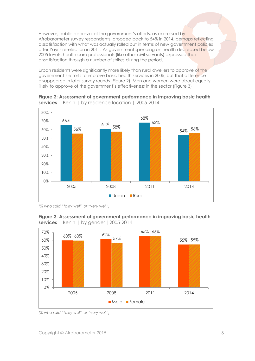However, public approval of the government's efforts, as expressed by Afrobarometer survey respondents, dropped back to 54% in 2014, perhaps reflecting dissatisfaction with what was actually rolled out in terms of new government policies after Yayi's re-election in 2011. As government spending on health decreased below 2005 levels, health care professionals (like other civil servants) expressed their dissatisfaction through a number of strikes during the period.

Urban residents were significantly more likely than rural dwellers to approve of the government's efforts to improve basic health services in 2005, but that difference disappeared in later survey rounds (Figure 2). Men and women were about equally likely to approve of the government's effectiveness in the sector (Figure 3)



**Figure 2: Assessment of government performance in improving basic health services** | Benin | by residence location | 2005-2014

*<sup>(%</sup> who said "fairly well" or "very well")*





*(% who said "fairly well" or "very well")*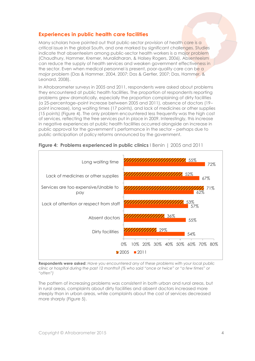# **Experiences in public health care facilities**

Many scholars have pointed out that public-sector provision of health care is a critical issue in the global South, and one marked by significant challenges. Studies indicate that absenteeism among public-sector health workers is a major problem (Chaudhury, Hammer, Kremer, Muralidharan, & Halsey Rogers, 2006). Absenteeism can reduce the supply of health services and weaken government effectiveness in the sector. Even when medical personnel is present, poor-quality care can be a major problem (Das & Hammer, 2004, 2007; Das & Gertler, 2007; Das, Hammer, & Leonard, 2008).

In Afrobarometer surveys in 2005 and 2011, respondents were asked about problems they encountered at public health facilities. The proportion of respondents reporting problems grew dramatically, especially the proportion complaining of dirty facilities (a 25-percentage–point increase between 2005 and 2011), absence of doctors (19– point increase), long waiting times (17 points), and lack of medicines or other supplies (15 points) (Figure 4). The only problem encountered less frequently was the high cost of services, reflecting the free services put in place in 2009. Interestingly, this increase in negative experiences at public health facilities occurred alongside an increase in public approval for the government's performance in the sector – perhaps due to public anticipation of policy reforms announced by the government.



**Figure 4: Problems experienced in public clinics** I Benin | 2005 and 2011

**Respondents were asked**: *Have you encountered any of these problems with your local public clinic or hospital during the past 12 months? (% who said "once or twice" or "a few times" or "often")*

The pattern of increasing problems was consistent in both urban and rural areas, but in rural areas, complaints about dirty facilities and absent doctors increased more steeply than in urban areas, while complaints about the cost of services decreased more sharply (Figure 5).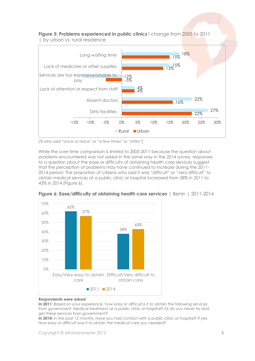

**Figure 5: Problems experienced in public clinics** l change from 2005 to 2011

*(% who said "once or twice" or "a few times" or "often"]*

While the over-time comparison is limited to 2005-2011 because the question about problems encountered was not asked in the same way in the 2014 survey, responses to a question about the ease or difficulty of obtaining health care services suggest that the perception of problems may have continued to increase during the 2011- 2014 period: The proportion of citizens who said it was "difficult" or "very difficult" to obtain medical services at a public clinic or hospital increased from 38% in 2011 to 43% in 2014 (Figure 6).



**Figure 6: Ease/difficulty of obtaining health care services** | Benin | 2011-2014

#### **Respondents were asked:**

**In 2011:** *Based on your experience, how easy or difficult is it to obtain the following services from government: Medical treatment at a public clinic or hospital? Or do you never try and get these services from government?*

**In 2014:** *In the past 12 months, have you had contact with a public clinic or hospital? If yes: How easy or difficult was it to obtain the medical care you needed?*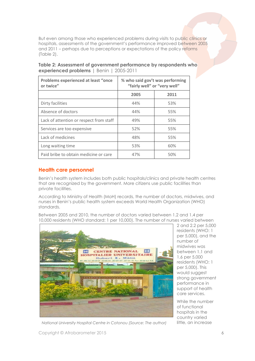But even among those who experienced problems during visits to public clinics or hospitals, assessments of the government's performance improved between 2005 and 2011 – perhaps due to perceptions or expectations of the policy reforms (Table 2).

| Table 2: Assessment of government performance by respondents who |
|------------------------------------------------------------------|
| experienced problems   Benin   2005-2011                         |

| <b>Problems experienced at least "once</b><br>or twice" | % who said gov't was performing<br>"fairly well" or "very well" |      |  |
|---------------------------------------------------------|-----------------------------------------------------------------|------|--|
|                                                         | 2005                                                            | 2011 |  |
| Dirty facilities                                        | 44%                                                             | 53%  |  |
| Absence of doctors                                      | 44%                                                             | 55%  |  |
| Lack of attention or respect from staff                 | 49%                                                             | 55%  |  |
| Services are too expensive                              | 52%                                                             | 55%  |  |
| Lack of medicines                                       | 48%                                                             | 55%  |  |
| Long waiting time                                       | 53%                                                             | 60%  |  |
| Paid bribe to obtain medicine or care                   | 47%                                                             | 50%  |  |

## **Health care personnel**

Benin's health system includes both public hospitals/clinics and private health centres that are recognized by the government. More citizens use public facilities than private facilities.

According to Ministry of Health (MoH) records, the number of doctors, midwives, and nurses in Benin's public health system exceeds World Health Organization (WHO) standards.

Between 2005 and 2010, the number of doctors varied between 1.2 and 1.4 per 10,000 residents (WHO standard: 1 per 10,000). The number of nurses varied between



2 and 2.2 per 5,000 residents (WHO: 1 per 5,000), and the number of midwives was between 1.1 and 1.6 per 5,000 residents (WHO: 1 per 5,000). This would suggest strong government performance in support of health care services.

While the number of functional hospitals in the country varied

*National University Hospital Centre in Cotonou (Source: The author)* little, an increase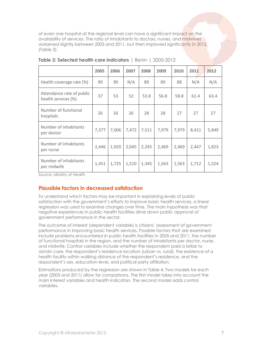of even one hospital at the regional level can have a significant impact on the availability of services. The ratio of inhabitants to doctors, nurses, and midwives worsened slightly between 2005 and 2011, but then improved significantly in 2012 (Table 3).

|                                                  | 2005  | 2006  | 2007  | 2008  | 2009  | 2010  | 2011  | 2012  |
|--------------------------------------------------|-------|-------|-------|-------|-------|-------|-------|-------|
| Health coverage rate (%)                         | 90    | 90    | N/A   | 89    | 89    | 88    | N/A   | N/A   |
| Attendance rate of public<br>health services (%) | 37    | 53    | 52    | 53.8  | 56.8  | 58.8  | 61.4  | 63.4  |
| Number of functional<br>hospitals                | 26    | 26    | 26    | 28    | 28    | 27    | 27    | 27    |
| Number of inhabitants<br>per doctor              | 7,377 | 7,006 | 7,472 | 7,511 | 7,979 | 7,979 | 8,411 | 5,849 |
| Number of inhabitants<br>per nurse               | 2,446 | 1,920 | 2,045 | 2,245 | 2,469 | 2,469 | 2,447 | 1,823 |
| Number of inhabitants<br>per midwife             | 1,451 | 1,725 | 1,510 | 1,345 | 1,563 | 1,563 | 1,712 | 1,524 |

| Table 3: Selected health care indicators   Benin   2005-2012 |  |  |  |
|--------------------------------------------------------------|--|--|--|
|                                                              |  |  |  |

*Source: Ministry of Health*

# **Plausible factors in decreased satisfaction**

To understand which factors may be important in explaining levels of public satisfaction with the government's efforts to improve basic health services, a linear regression was used to examine changes over time. The main hypothesis was that negative experiences in public health facilities drive down public approval of government performance in the sector.

The outcome of interest (dependent variable) is citizens' assessment of government performance in improving basic health services. Possible factors that are examined include problems encountered in public health facilities in 2005 and 2011, the number of functional hospitals in the region, and the number of inhabitants per doctor, nurse, and midwife. Control variables include whether the respondent paid a bribe to obtain care, the respondent's residence location (urban vs. rural), the existence of a health facility within walking distance of the respondent's residence, and the respondent's sex, education level, and political party affiliation.

Estimations produced by the regression are shown in Table 4. Two models for each year (2005 and 2011) allow for comparisons. The first model takes into account the main interest variables and health indicators. The second model adds control variables.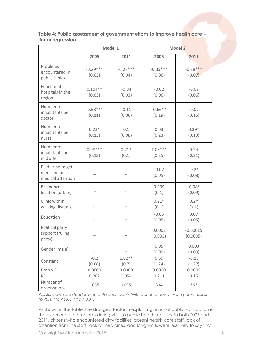|                                                       |                      | Model 1              | <b>Model 2</b>       |                        |  |  |
|-------------------------------------------------------|----------------------|----------------------|----------------------|------------------------|--|--|
|                                                       | 2005                 | 2011                 | 2005                 | 2011                   |  |  |
| Problems<br>encountered in<br>public clinics          | $-0.29***$<br>(0.03) | $-0.28***$<br>(0.04) | $-0.35***$<br>(0.06) | $-0.38***$<br>(0.07)   |  |  |
| Functional<br>hospitals in the<br>region              | $0.104**$<br>(0.03)  | $-0.04$<br>(0.03)    | $-0.02$<br>(0.06)    | $-0.08$<br>(0.06)      |  |  |
| Number of<br>inhabitants per<br>doctor                | $-0.68***$<br>(0.11) | $-0.11$<br>(0.06)    | $-0.66**$<br>(0.19)  | $-0.07$<br>(0.15)      |  |  |
| Number of<br>inhabitants per<br>nurse                 | $0.23*$<br>(0.13)    | 0.1<br>(0.08)        | 0.03<br>(0.23)       | $0.29*$<br>(0.13)      |  |  |
| Number of<br>inhabitants per<br>midwife               | $0.98***$<br>(0.13)  | $0.21*$<br>(0.1)     | $1.08***$<br>(0.25)  | 0.24<br>(0.21)         |  |  |
| Paid bribe to get<br>medicine or<br>medical attention | $\sim$               | $\sim$               | $-0.02$<br>(0.05)    | $-0.2*$<br>(0.08)      |  |  |
| Residence<br>location (urban)                         | $\sim$               | $\sim$               | 0.009<br>(0.1)       | $-0.08*$<br>(0.09)     |  |  |
| Clinic within<br>walking distance                     | $\sim$               | $\sim$               | $0.21*$<br>(0.1)     | $0.2*$<br>(0.1)        |  |  |
| Education                                             | $\sim$               | $\sim$               | $-0.05$<br>(0.05)    | 0.07<br>(0.05)         |  |  |
| Political party<br>support (ruling<br>party)          | $\sim$               | $\sim$               | 0.0002<br>(0.003)    | $-0.00015$<br>(0.0005) |  |  |
| Gender (male)                                         | $\sim$               | $\sim$               | 0.05<br>(0.09)       | 0.003<br>(0.09)        |  |  |
| Constant                                              | $-0.2$<br>(0.68)     | $1.82**$<br>(0.7)    | 0.69<br>(1.24)       | $-0.16$<br>(1.27)      |  |  |
| Prob > F                                              | 0.0000               | 0.0000               | 0.0000               | 0.0000                 |  |  |
| $R^2$                                                 | 0.202                | 0.054                | 0.211                | 0.15                   |  |  |
| Number of<br>observations                             | 1035                 | 1095                 | 334                  | 363                    |  |  |

**Table 4: Public assessment of government efforts to improve health care – linear regression**

*Results shown are standardized beta coefficients (with standard deviations in parentheses); \*p <0.1, \*\*p < 0.05, \*\*\*p < 0.01.*

As shown in the table, the strongest factor in explaining levels of public satisfaction is the experience of problems during visits to public health facilities. In both 2005 and 2011, citizens who encountered dirty facilities, absent health care staff, lack of attention from the staff, lack of medicines, and long waits were less likely to say that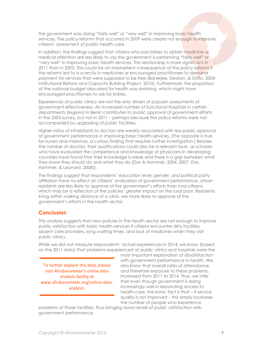the government was doing "fairly well" or "very well" in improving basic health services. The policy reforms that occurred in 2009 were clearly not enough to improve citizens' assessment of public health care.

In addition, the findings suggest that citizens who pay bribes to obtain medicine or medical attention are less likely to say the government is performing "fairly well" or "very well" in improving basic health services. This relationship is more significant in 2011 than in 2005. This could be an inadvertent consequence of the policy reforms if the reforms led to a scarcity in medicines or encouraged practitioners to demand payment for services that were supposed to be free (Banerjee, Deaton, & Duflo, 2004; Institutional Reform and Capacity Building Project, 2010). Furthermore, the proportion of the national budget allocated for health was shrinking, which might have encouraged practitioners to ask for bribes.

Experiences at public clinics are not the only drivers of popular assessments of government effectiveness. An increased number of functional hospitals in certain departments (regions) in Benin contributes to public approval of government efforts in the 2005 survey, but not in 2011 – perhaps because the policy reforms were not accompanied by upgrading of public facilities.

Higher ratios of inhabitants to doctors are weakly associated with less public approval of government performance in improving basic health services. (The opposite is true for nurses and midwives, a curious finding that requires further investigation.) Besides the number of doctors, their qualifications could also be a relevant issue, as scholars who have evaluated the competence and knowledge of physicians in developing countries have found that their knowledge is weak and there is a gap between what they know they should do and what they do (Das & Hammer, 2004, 2007; Das, Hammer, & Leonard, 2008)).

The findings suggest that respondents' education level, gender, and political party affiliation have no effect on citizens' evaluation of government performance. Urban residents are less likely to approve of the government's efforts than rural citizens, which may be a reflection of the policies' greater impact on the rural poor. Residents living within walking distance of a clinic are more likely to approve of the government's efforts in the health sector.

### **Conclusion**

This analysis suggests that new policies in the health sector are not enough to improve public satisfaction with basic health services if citizens encounter dirty facilities, absent care providers, long waiting times, and lack of medicines when they visit public clinics.

While we did not measure respondents' actual experiences in 2014, we know (based on the 2011 data) that problems experienced at public clinics and hospitals were the

To further explore this data, please visit Afrobarometer's online data analysis facility at www.afrobarometer.org/online-dataanalysis.

most important explanation of dissatisfaction with government performance in health. We also know that overall rates of attendance, and therefore exposure to these problems, increased from 2011 to 2014. Thus, we infer that even though government is doing increasingly well in expanding access to health care, the ironic fact is that – if service quality is not improved – this simply increases the number of people who experience

problems at those facilities, thus bringing down levels of public satisfaction with government performance.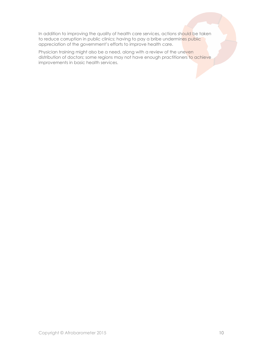In addition to improving the quality of health care services, actions should be taken to reduce corruption in public clinics; having to pay a bribe undermines public appreciation of the government's efforts to improve health care.

Physician training might also be a need, along with a review of the uneven distribution of doctors; some regions may not have enough practitioners to achieve improvements in basic health services.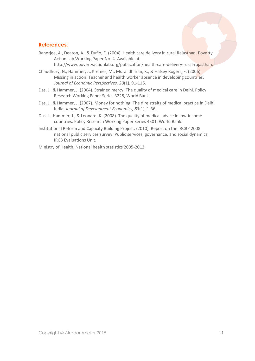## **References:**

Banerjee, A., Deaton, A., & Duflo, E. (2004). Health care delivery in rural Rajasthan. Poverty Action Lab Working Paper No. 4. Available at

[http://www.povertyactionlab.org/publication/health-care-delivery-rural-rajasthan.](http://www.povertyactionlab.org/publication/health-care-delivery-rural-rajasthan)

- Chaudhury, N., Hammer, J., Kremer, M., Muralidharan, K., & Halsey Rogers, F. (2006). Missing in action: Teacher and health worker absence in developing countries. *Journal of Economic Perspectives, 20*(1), 91-116.
- Das, J., & Hammer, J. (2004). Strained mercy: The quality of medical care in Delhi. Policy Research Working Paper Series 3228, World Bank.
- Das, J., & Hammer, J. (2007). Money for nothing: The dire straits of medical practice in Delhi, India. *Journal of Development Economics, 83*(1), 1-36.
- Das, J., Hammer, J., & Leonard, K. (2008). The quality of medical advice in low-income countries. Policy Research Working Paper Series 4501, World Bank.
- Institutional Reform and Capacity Building Project. (2010). Report on the IRCBP 2008 national public services survey: Public services, governance, and social dynamics. IRCB Evaluations Unit.

Ministry of Health. National health statistics 2005-2012.